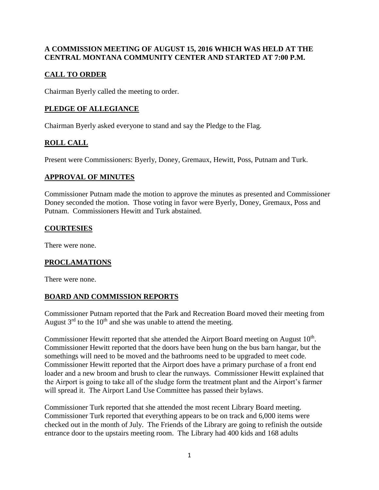#### **A COMMISSION MEETING OF AUGUST 15, 2016 WHICH WAS HELD AT THE CENTRAL MONTANA COMMUNITY CENTER AND STARTED AT 7:00 P.M.**

# **CALL TO ORDER**

Chairman Byerly called the meeting to order.

## **PLEDGE OF ALLEGIANCE**

Chairman Byerly asked everyone to stand and say the Pledge to the Flag.

# **ROLL CALL**

Present were Commissioners: Byerly, Doney, Gremaux, Hewitt, Poss, Putnam and Turk.

#### **APPROVAL OF MINUTES**

Commissioner Putnam made the motion to approve the minutes as presented and Commissioner Doney seconded the motion. Those voting in favor were Byerly, Doney, Gremaux, Poss and Putnam. Commissioners Hewitt and Turk abstained.

#### **COURTESIES**

There were none.

## **PROCLAMATIONS**

There were none.

## **BOARD AND COMMISSION REPORTS**

Commissioner Putnam reported that the Park and Recreation Board moved their meeting from August  $3<sup>rd</sup>$  to the 10<sup>th</sup> and she was unable to attend the meeting.

Commissioner Hewitt reported that she attended the Airport Board meeting on August  $10<sup>th</sup>$ . Commissioner Hewitt reported that the doors have been hung on the bus barn hangar, but the somethings will need to be moved and the bathrooms need to be upgraded to meet code. Commissioner Hewitt reported that the Airport does have a primary purchase of a front end loader and a new broom and brush to clear the runways. Commissioner Hewitt explained that the Airport is going to take all of the sludge form the treatment plant and the Airport's farmer will spread it. The Airport Land Use Committee has passed their bylaws.

Commissioner Turk reported that she attended the most recent Library Board meeting. Commissioner Turk reported that everything appears to be on track and 6,000 items were checked out in the month of July. The Friends of the Library are going to refinish the outside entrance door to the upstairs meeting room. The Library had 400 kids and 168 adults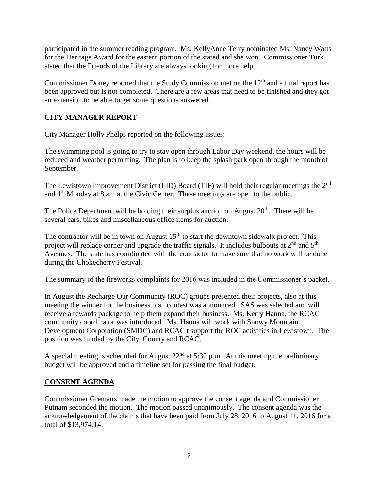participated in the summer reading program. Ms. KellyAnne Terry nominated Ms. Nancy Watts for the Heritage Award for the eastern portion of the stated and she won. Commissioner Turk stated that the Friends of the Library are always looking for more help.

Commissioner Doney reported that the Study Commission met on the 12<sup>th</sup> and a final report has been approved but is not completed. There are a few areas that need to be finished and they got an extension to be able to get some questions answered.

#### **CITY MANAGER REPORT**

City Manager Holly Phelps reported on the following issues:

The swimming pool is going to try to stay open through Labor Day weekend, the hours will be reduced and weather permitting. The plan is to keep the splash park open through the month of September.

The Lewistown Improvement District (LID) Board (TIF) will hold their regular meetings the 2<sup>nd</sup> and  $4<sup>th</sup>$  Monday at 8 am at the Civic Center. These meetings are open to the public.

The Police Department will be holding their surplus auction on August  $20<sup>th</sup>$ . There will be several cars, bikes and miscellaneous office items for auction.

The contractor will be in town on August  $15<sup>th</sup>$  to start the downtown sidewalk project. This project will replace corner and upgrade the traffic signals. It includes bulbouts at  $2<sup>nd</sup>$  and  $5<sup>th</sup>$ Avenues. The state has coordinated with the contractor to make sure that no work will be done during the Chokecherry Festival.

The summary of the fireworks complaints for 2016 was included in the Commissioner's packet.

In August the Recharge Our Community (ROC) groups presented their projects, also at this meeting the winner for the business plan contest was announced. SAS was selected and will receive a rewards package to help them expand their business. Ms. Kerry Hanna, the RCAC community coordinator was introduced. Ms. Hanna will work with Snowy Mountain Development Corporation (SMDC) and RCAC t support the ROC activities in Lewistown. The position was funded by the City, County and RCAC.

A special meeting is scheduled for August  $22<sup>nd</sup>$  at 5:30 p.m. At this meeting the preliminary budget will be approved and a timeline set for passing the final budget.

#### **CONSENT AGENDA**

Commissioner Gremaux made the motion to approve the consent agenda and Commissioner Putnam seconded the motion. The motion passed unanimously. The consent agenda was the acknowledgement of the claims that have been paid from July 28, 2016 to August 11, 2016 for a total of \$13,974.14.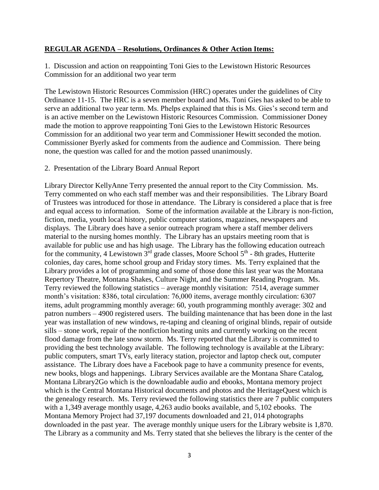#### **REGULAR AGENDA – Resolutions, Ordinances & Other Action Items:**

1. Discussion and action on reappointing Toni Gies to the Lewistown Historic Resources Commission for an additional two year term

The Lewistown Historic Resources Commission (HRC) operates under the guidelines of City Ordinance 11-15. The HRC is a seven member board and Ms. Toni Gies has asked to be able to serve an additional two year term. Ms. Phelps explained that this is Ms. Gies's second term and is an active member on the Lewistown Historic Resources Commission. Commissioner Doney made the motion to approve reappointing Toni Gies to the Lewistown Historic Resources Commission for an additional two year term and Commissioner Hewitt seconded the motion. Commissioner Byerly asked for comments from the audience and Commission. There being none, the question was called for and the motion passed unanimously.

#### 2. Presentation of the Library Board Annual Report

Library Director KellyAnne Terry presented the annual report to the City Commission. Ms. Terry commented on who each staff member was and their responsibilities. The Library Board of Trustees was introduced for those in attendance. The Library is considered a place that is free and equal access to information. Some of the information available at the Library is non-fiction, fiction, media, youth local history, public computer stations, magazines, newspapers and displays. The Library does have a senior outreach program where a staff member delivers material to the nursing homes monthly. The Library has an upstairs meeting room that is available for public use and has high usage. The Library has the following education outreach for the community, 4 Lewistown  $3<sup>rd</sup>$  grade classes, Moore School  $5<sup>th</sup>$  - 8th grades, Hutterite colonies, day cares, home school group and Friday story times. Ms. Terry explained that the Library provides a lot of programming and some of those done this last year was the Montana Repertory Theatre, Montana Shakes, Culture Night, and the Summer Reading Program. Ms. Terry reviewed the following statistics – average monthly visitation: 7514, average summer month's visitation: 8386, total circulation: 76,000 items, average monthly circulation: 6307 items, adult programming monthly average: 60, youth programming monthly average: 302 and patron numbers – 4900 registered users. The building maintenance that has been done in the last year was installation of new windows, re-taping and cleaning of original blinds, repair of outside sills – stone work, repair of the nonfiction heating units and currently working on the recent flood damage from the late snow storm. Ms. Terry reported that the Library is committed to providing the best technology available. The following technology is available at the Library: public computers, smart TVs, early literacy station, projector and laptop check out, computer assistance. The Library does have a Facebook page to have a community presence for events, new books, blogs and happenings. Library Services available are the Montana Share Catalog, Montana Library2Go which is the downloadable audio and ebooks, Montana memory project which is the Central Montana Historical documents and photos and the HeritageQuest which is the genealogy research. Ms. Terry reviewed the following statistics there are 7 public computers with a 1,349 average monthly usage, 4,263 audio books available, and 5,102 ebooks. The Montana Memory Project had 37,197 documents downloaded and 21, 014 photographs downloaded in the past year. The average monthly unique users for the Library website is 1,870. The Library as a community and Ms. Terry stated that she believes the library is the center of the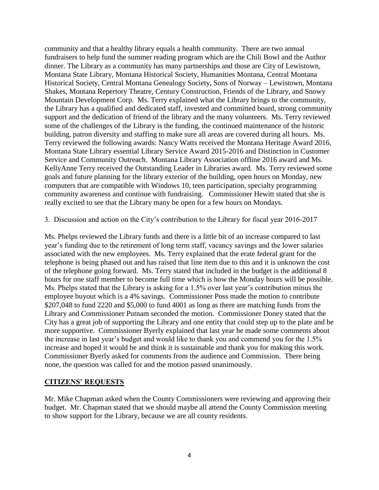community and that a healthy library equals a health community. There are two annual fundraisers to help fund the summer reading program which are the Chili Bowl and the Author dinner. The Library as a community has many partnerships and those are City of Lewistown, Montana State Library, Montana Historical Society, Humanities Montana, Central Montana Historical Society, Central Montana Genealogy Society, Sons of Norway – Lewistown, Montana Shakes, Montana Repertory Theatre, Century Construction, Friends of the Library, and Snowy Mountain Development Corp. Ms. Terry explained what the Library brings to the community, the Library has a qualified and dedicated staff, invested and committed board, strong community support and the dedication of friend of the library and the many volunteers. Ms. Terry reviewed some of the challenges of the Library is the funding, the continued maintenance of the historic building, patron diversity and staffing to make sure all areas are covered during all hours. Ms. Terry reviewed the following awards: Nancy Watts received the Montana Heritage Award 2016, Montana State Library essential Library Service Award 2015-2016 and Distinction in Customer Service and Community Outreach. Montana Library Association offline 2016 award and Ms. KellyAnne Terry received the Outstanding Leader in Libraries award. Ms. Terry reviewed some goals and future planning for the library exterior of the building, open hours on Monday, new computers that are compatible with Windows 10, teen participation, specialty programming community awareness and continue with fundraising. Commissioner Hewitt stated that she is really excited to see that the Library many be open for a few hours on Mondays.

3. Discussion and action on the City's contribution to the Library for fiscal year 2016-2017

Ms. Phelps reviewed the Library funds and there is a little bit of an increase compared to last year's funding due to the retirement of long term staff, vacancy savings and the lower salaries associated with the new employees. Ms. Terry explained that the erate federal grant for the telephone is being phased out and has raised that line item due to this and it is unknown the cost of the telephone going forward. Ms. Terry stated that included in the budget is the additional 8 hours for one staff member to become full time which is how the Monday hours will be possible. Ms. Phelps stated that the Library is asking for a 1.5% over last year's contribution minus the employee buyout which is a 4% savings. Commissioner Poss made the motion to contribute \$207,048 to fund 2220 and \$5,000 to fund 4001 as long as there are matching funds from the Library and Commissioner Putnam seconded the motion. Commissioner Doney stated that the City has a great job of supporting the Library and one entity that could step up to the plate and be more supportive. Commissioner Byerly explained that last year he made some comments about the increase in last year's budget and would like to thank you and commend you for the 1.5% increase and hoped it would be and think it is sustainable and thank you for making this work. Commissioner Byerly asked for comments from the audience and Commission. There being none, the question was called for and the motion passed unanimously.

#### **CITIZENS' REQUESTS**

Mr. Mike Chapman asked when the County Commissioners were reviewing and approving their budget. Mr. Chapman stated that we should maybe all attend the County Commission meeting to show support for the Library, because we are all county residents.